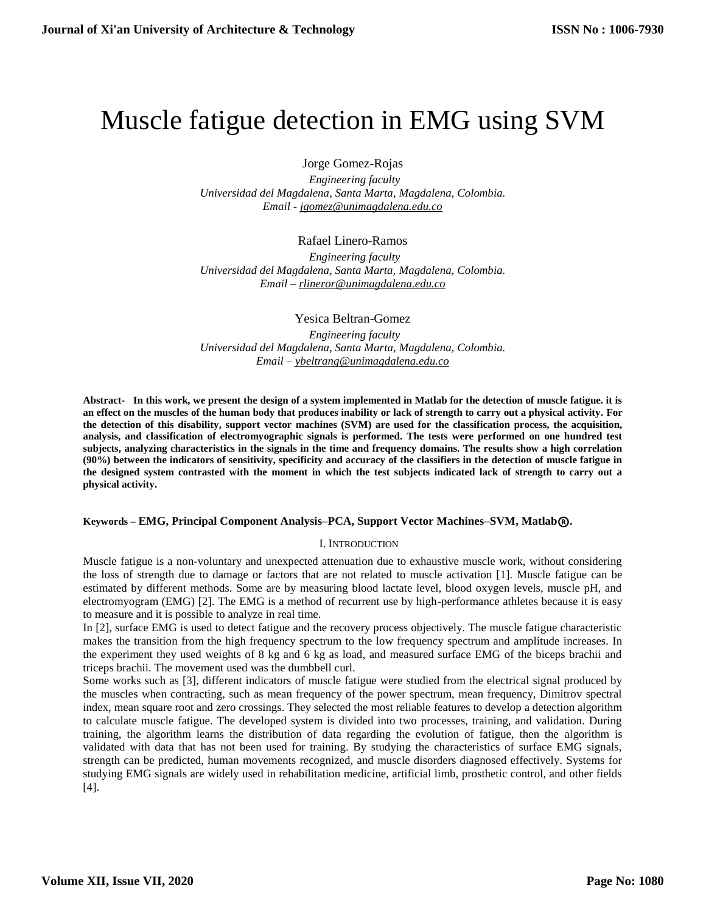# Muscle fatigue detection in EMG using SVM

Jorge Gomez-Rojas

 *Engineering faculty Universidad del Magdalena, Santa Marta, Magdalena, Colombia. Email - [jgomez@unimagdalena.edu.co](mailto:jgomez@unimagdalena.edu.co)* 

Rafael Linero-Ramos

 *Engineering faculty Universidad del Magdalena, Santa Marta, Magdalena, Colombia. Email – [rlineror@unimagdalena.edu.co](mailto:rlineror@unimagdalena.edu.co)* 

Yesica Beltran-Gomez

 *Engineering faculty Universidad del Magdalena, Santa Marta, Magdalena, Colombia. Email – [ybeltrang@unimagdalena.edu.co](mailto:ybeltrang@unimagdalena.edu.co)* 

**Abstract- In this work, we present the design of a system implemented in Matlab for the detection of muscle fatigue. it is an effect on the muscles of the human body that produces inability or lack of strength to carry out a physical activity. For the detection of this disability, support vector machines (SVM) are used for the classification process, the acquisition, analysis, and classification of electromyographic signals is performed. The tests were performed on one hundred test subjects, analyzing characteristics in the signals in the time and frequency domains. The results show a high correlation (90%) between the indicators of sensitivity, specificity and accuracy of the classifiers in the detection of muscle fatigue in the designed system contrasted with the moment in which the test subjects indicated lack of strength to carry out a physical activity.**

# **Keywords – EMG, Principal Component Analysis–PCA, Support Vector Machines–SVM, Matlab**®**.**

# I. INTRODUCTION

Muscle fatigue is a non-voluntary and unexpected attenuation due to exhaustive muscle work, without considering the loss of strength due to damage or factors that are not related to muscle activation [1]. Muscle fatigue can be estimated by different methods. Some are by measuring blood lactate level, blood oxygen levels, muscle pH, and electromyogram (EMG) [2]. The EMG is a method of recurrent use by high-performance athletes because it is easy to measure and it is possible to analyze in real time.

In [2], surface EMG is used to detect fatigue and the recovery process objectively. The muscle fatigue characteristic makes the transition from the high frequency spectrum to the low frequency spectrum and amplitude increases. In the experiment they used weights of 8 kg and 6 kg as load, and measured surface EMG of the biceps brachii and triceps brachii. The movement used was the dumbbell curl.

Some works such as [3], different indicators of muscle fatigue were studied from the electrical signal produced by the muscles when contracting, such as mean frequency of the power spectrum, mean frequency, Dimitrov spectral index, mean square root and zero crossings. They selected the most reliable features to develop a detection algorithm to calculate muscle fatigue. The developed system is divided into two processes, training, and validation. During training, the algorithm learns the distribution of data regarding the evolution of fatigue, then the algorithm is validated with data that has not been used for training. By studying the characteristics of surface EMG signals, strength can be predicted, human movements recognized, and muscle disorders diagnosed effectively. Systems for studying EMG signals are widely used in rehabilitation medicine, artificial limb, prosthetic control, and other fields [4].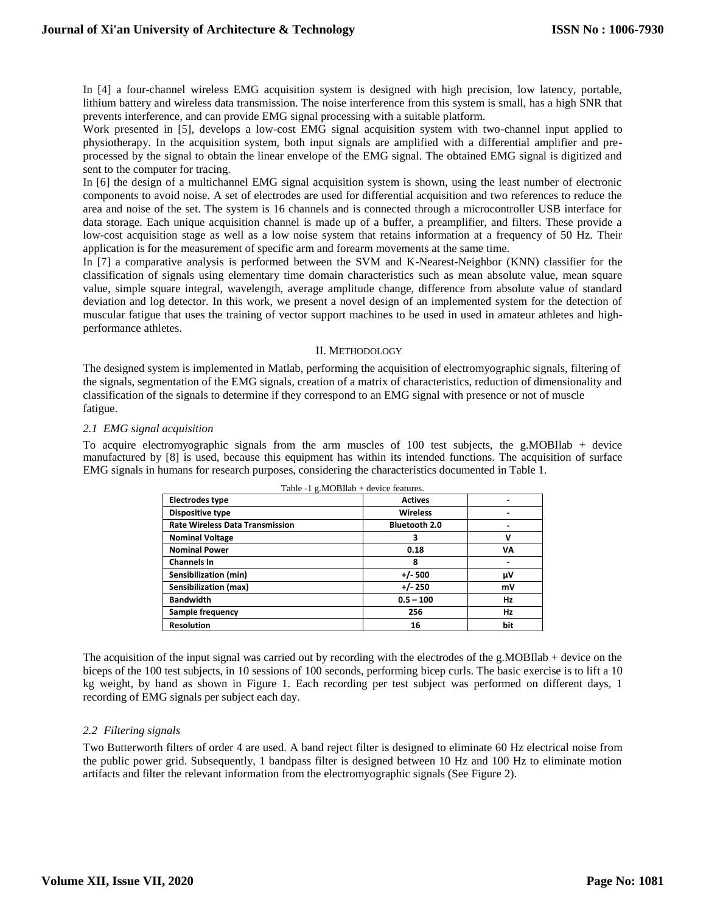In [4] a four-channel wireless EMG acquisition system is designed with high precision, low latency, portable, lithium battery and wireless data transmission. The noise interference from this system is small, has a high SNR that prevents interference, and can provide EMG signal processing with a suitable platform.

Work presented in [5], develops a low-cost EMG signal acquisition system with two-channel input applied to physiotherapy. In the acquisition system, both input signals are amplified with a differential amplifier and preprocessed by the signal to obtain the linear envelope of the EMG signal. The obtained EMG signal is digitized and sent to the computer for tracing.

In [6] the design of a multichannel EMG signal acquisition system is shown, using the least number of electronic components to avoid noise. A set of electrodes are used for differential acquisition and two references to reduce the area and noise of the set. The system is 16 channels and is connected through a microcontroller USB interface for data storage. Each unique acquisition channel is made up of a buffer, a preamplifier, and filters. These provide a low-cost acquisition stage as well as a low noise system that retains information at a frequency of 50 Hz. Their application is for the measurement of specific arm and forearm movements at the same time.

In [7] a comparative analysis is performed between the SVM and K-Nearest-Neighbor (KNN) classifier for the classification of signals using elementary time domain characteristics such as mean absolute value, mean square value, simple square integral, wavelength, average amplitude change, difference from absolute value of standard deviation and log detector. In this work, we present a novel design of an implemented system for the detection of muscular fatigue that uses the training of vector support machines to be used in used in amateur athletes and highperformance athletes.

# II. METHODOLOGY

The designed system is implemented in Matlab, performing the acquisition of electromyographic signals, filtering of the signals, segmentation of the EMG signals, creation of a matrix of characteristics, reduction of dimensionality and classification of the signals to determine if they correspond to an EMG signal with presence or not of muscle fatigue.

# *2.1 EMG signal acquisition*

To acquire electromyographic signals from the arm muscles of  $100$  test subjects, the g.MOBIlab + device manufactured by [8] is used, because this equipment has within its intended functions. The acquisition of surface EMG signals in humans for research purposes, considering the characteristics documented in Table 1.

| Table -1 $g.MOBIlab + device$ features. |                      |                              |
|-----------------------------------------|----------------------|------------------------------|
| Electrodes type                         | <b>Actives</b>       |                              |
| Dispositive type                        | <b>Wireless</b>      |                              |
| <b>Rate Wireless Data Transmission</b>  | <b>Bluetooth 2.0</b> |                              |
| <b>Nominal Voltage</b>                  | з                    | v                            |
| <b>Nominal Power</b>                    | 0.18                 | VA                           |
| <b>Channels In</b>                      | 8                    | $\qquad \qquad \blacksquare$ |
| Sensibilization (min)                   | $+/-$ 500            | μV                           |
| Sensibilization (max)                   | $+/- 250$            | mV                           |
| <b>Bandwidth</b>                        | $0.5 - 100$          | Hz                           |
| Sample frequency                        | 256                  | Hz                           |
| <b>Resolution</b>                       | 16                   | bit                          |

The acquisition of the input signal was carried out by recording with the electrodes of the g.MOBIlab + device on the biceps of the 100 test subjects, in 10 sessions of 100 seconds, performing bicep curls. The basic exercise is to lift a 10 kg weight, by hand as shown in Figure 1. Each recording per test subject was performed on different days, 1 recording of EMG signals per subject each day.

# *2.2 Filtering signals*

Two Butterworth filters of order 4 are used. A band reject filter is designed to eliminate 60 Hz electrical noise from the public power grid. Subsequently, 1 bandpass filter is designed between 10 Hz and 100 Hz to eliminate motion artifacts and filter the relevant information from the electromyographic signals (See Figure 2).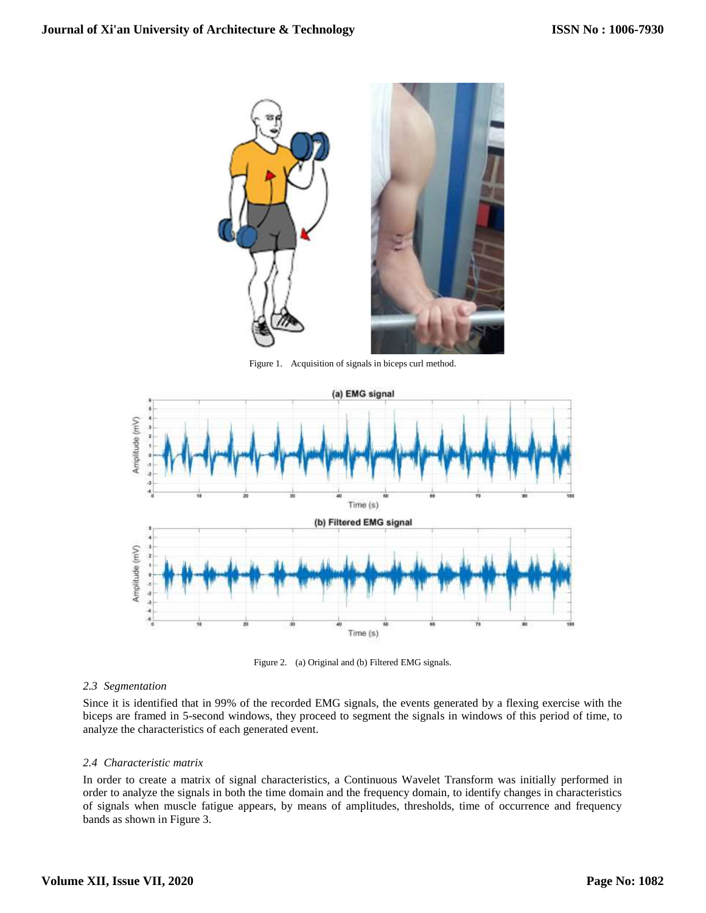

Figure 1. Acquisition of signals in biceps curl method.



Figure 2. (a) Original and (b) Filtered EMG signals.

# *2.3 Segmentation*

Since it is identified that in 99% of the recorded EMG signals, the events generated by a flexing exercise with the biceps are framed in 5-second windows, they proceed to segment the signals in windows of this period of time, to analyze the characteristics of each generated event.

# *2.4 Characteristic matrix*

In order to create a matrix of signal characteristics, a Continuous Wavelet Transform was initially performed in order to analyze the signals in both the time domain and the frequency domain, to identify changes in characteristics of signals when muscle fatigue appears, by means of amplitudes, thresholds, time of occurrence and frequency bands as shown in Figure 3.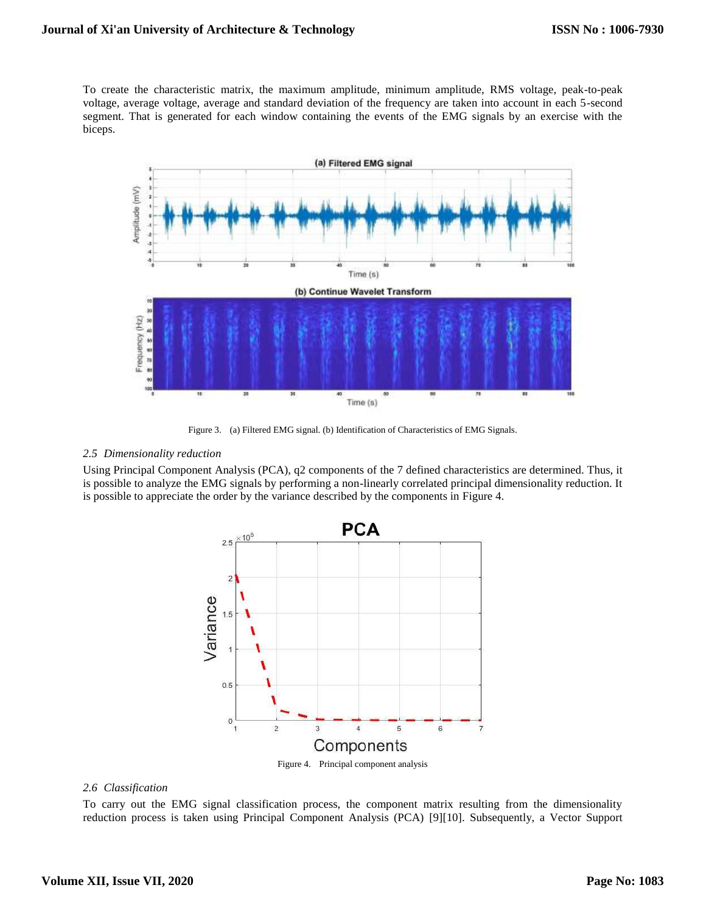To create the characteristic matrix, the maximum amplitude, minimum amplitude, RMS voltage, peak-to-peak voltage, average voltage, average and standard deviation of the frequency are taken into account in each 5-second segment. That is generated for each window containing the events of the EMG signals by an exercise with the biceps.



Figure 3. (a) Filtered EMG signal. (b) Identification of Characteristics of EMG Signals.

# *2.5 Dimensionality reduction*

Using Principal Component Analysis (PCA), q2 components of the 7 defined characteristics are determined. Thus, it is possible to analyze the EMG signals by performing a non-linearly correlated principal dimensionality reduction. It is possible to appreciate the order by the variance described by the components in Figure 4.



#### *2.6 Classification*

To carry out the EMG signal classification process, the component matrix resulting from the dimensionality reduction process is taken using Principal Component Analysis (PCA) [9][10]. Subsequently, a Vector Support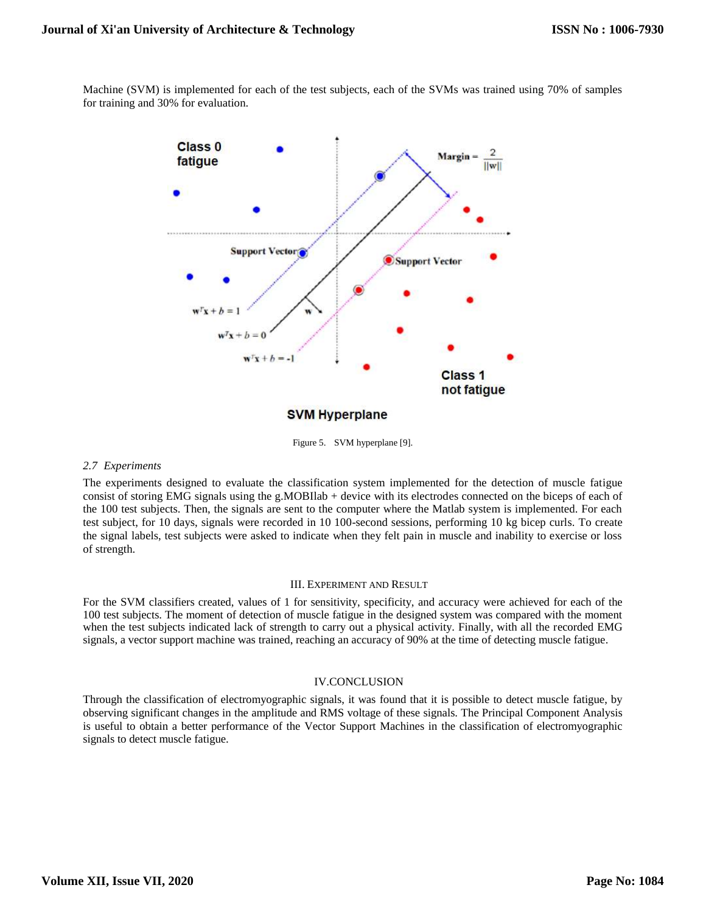Class<sub>0</sub> Margin fatique **Support Vector** Support Vector  $\mathbf{w}^T\mathbf{x} + b =$ Class<sub>1</sub> not fatigue **SVM Hyperplane** 

Machine (SVM) is implemented for each of the test subjects, each of the SVMs was trained using 70% of samples for training and 30% for evaluation.

Figure 5. SVM hyperplane [9].

#### *2.7 Experiments*

The experiments designed to evaluate the classification system implemented for the detection of muscle fatigue consist of storing EMG signals using the g.MOBIlab + device with its electrodes connected on the biceps of each of the 100 test subjects. Then, the signals are sent to the computer where the Matlab system is implemented. For each test subject, for 10 days, signals were recorded in 10 100-second sessions, performing 10 kg bicep curls. To create the signal labels, test subjects were asked to indicate when they felt pain in muscle and inability to exercise or loss of strength.

#### III. EXPERIMENT AND RESULT

For the SVM classifiers created, values of 1 for sensitivity, specificity, and accuracy were achieved for each of the 100 test subjects. The moment of detection of muscle fatigue in the designed system was compared with the moment when the test subjects indicated lack of strength to carry out a physical activity. Finally, with all the recorded EMG signals, a vector support machine was trained, reaching an accuracy of 90% at the time of detecting muscle fatigue.

# IV.CONCLUSION

Through the classification of electromyographic signals, it was found that it is possible to detect muscle fatigue, by observing significant changes in the amplitude and RMS voltage of these signals. The Principal Component Analysis is useful to obtain a better performance of the Vector Support Machines in the classification of electromyographic signals to detect muscle fatigue.